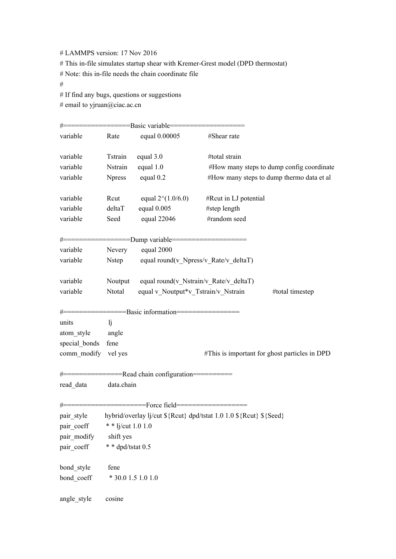# LAMMPS version: 17 Nov 2016

# This in-file simulates startup shear with Kremer-Grest model (DPD thermostat)

# Note: this in-file needs the chain coordinate file

#

# If find any bugs, questions or suggestions

# email to yjruan@ciac.ac.cn

|                     |                                                                    | #==================Basic variable=======             |                                               |  |
|---------------------|--------------------------------------------------------------------|------------------------------------------------------|-----------------------------------------------|--|
| variable            | Rate                                                               | equal 0.00005                                        | #Shear rate                                   |  |
| variable            | Tstrain                                                            | equal 3.0                                            | #total strain                                 |  |
| variable            | Nstrain                                                            | equal 1.0                                            | #How many steps to dump config coordinate     |  |
| variable            | <b>Npress</b>                                                      | equal 0.2                                            | #How many steps to dump thermo data et al     |  |
| variable            | Rcut                                                               | equal $2^{(1.0/6.0)}$                                | #Rcut in LJ potential                         |  |
| variable            | deltaT                                                             | equal $0.005$                                        | #step length                                  |  |
| variable            | Seed                                                               | equal $22046$                                        | #random seed                                  |  |
|                     |                                                                    | #==================Dump variable==================== |                                               |  |
| variable            | equal 2000<br>Nevery                                               |                                                      |                                               |  |
| variable            | Nstep<br>equal round(v_Npress/v_Rate/v_deltaT)                     |                                                      |                                               |  |
| variable            | Noutput equal round(v_Nstrain/v_Rate/v_deltaT)                     |                                                      |                                               |  |
| variable            | Ntotal                                                             | equal v Noutput*v Tstrain/v Nstrain                  | #total timestep                               |  |
|                     |                                                                    | #================Basic information=================  |                                               |  |
| units               | li                                                                 |                                                      |                                               |  |
| atom_style          | angle                                                              |                                                      |                                               |  |
| special bonds       | fene                                                               |                                                      |                                               |  |
| comm modify vel yes |                                                                    |                                                      | #This is important for ghost particles in DPD |  |
|                     |                                                                    | #===============Read chain configuration===========  |                                               |  |
| read data           | data.chain                                                         |                                                      |                                               |  |
|                     |                                                                    | #=====================Force field==================  |                                               |  |
| pair style          | hybrid/overlay lj/cut \${Rcut} dpd/tstat 1.0 1.0 \${Rcut} \${Seed} |                                                      |                                               |  |
| pair_coeff          | * * lj/cut $1.0 1.0$                                               |                                                      |                                               |  |
| pair modify         | shift yes                                                          |                                                      |                                               |  |
| pair_coeff          | * * dpd/tstat 0.5                                                  |                                                      |                                               |  |
| bond_style          | fene                                                               |                                                      |                                               |  |
| bond_coeff          | * 30.0 1.5 1.0 1.0                                                 |                                                      |                                               |  |
| angle style         | cosine                                                             |                                                      |                                               |  |